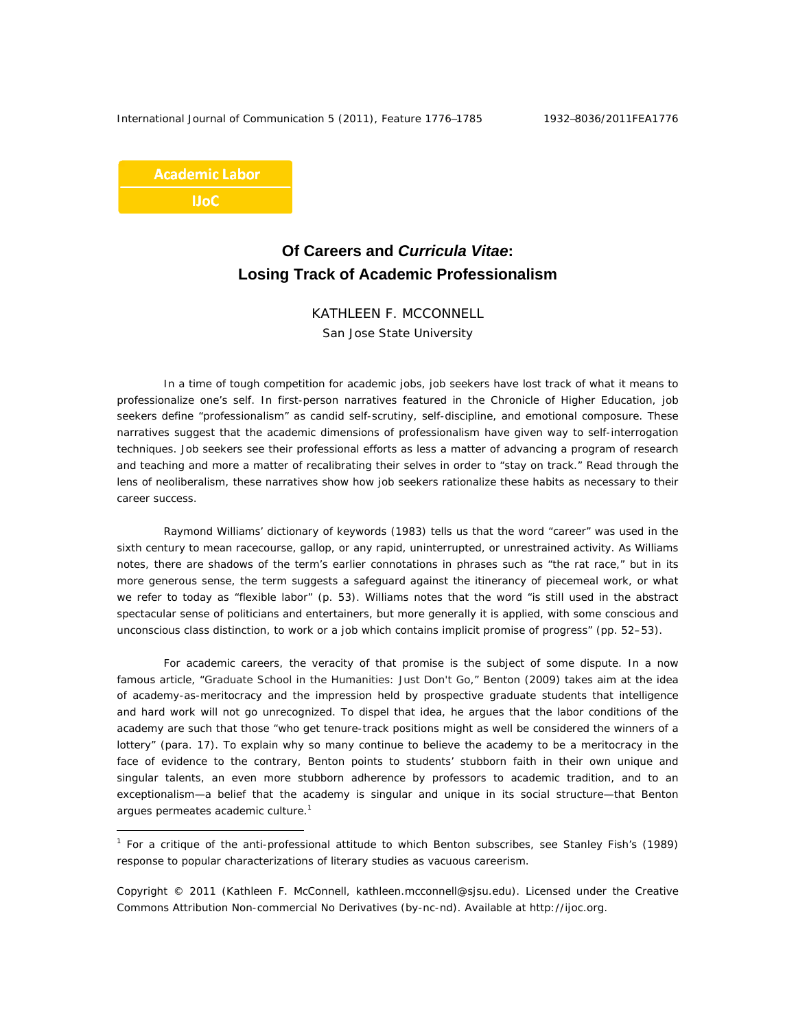**Academic Labor IJoC** 

 $\overline{a}$ 

# **Of Careers and** *Curricula Vitae***: Losing Track of Academic Professionalism**

## KATHLEEN F. MCCONNELL

San Jose State University

In a time of tough competition for academic jobs, job seekers have lost track of what it means to professionalize one's self. In first-person narratives featured in the *Chronicle of Higher Education*, job seekers define "professionalism" as candid self-scrutiny, self-discipline, and emotional composure. These narratives suggest that the academic dimensions of professionalism have given way to self-interrogation techniques. Job seekers see their professional efforts as less a matter of advancing a program of research and teaching and more a matter of recalibrating their selves in order to "stay on track." Read through the lens of neoliberalism, these narratives show how job seekers rationalize these habits as necessary to their career success.

Raymond Williams' dictionary of keywords (1983) tells us that the word "career" was used in the sixth century to mean racecourse, gallop, or any rapid, uninterrupted, or unrestrained activity. As Williams notes, there are shadows of the term's earlier connotations in phrases such as "the rat race," but in its more generous sense, the term suggests a safeguard against the itinerancy of piecemeal *work,* or what we refer to today as "flexible *labor*" (p. 53). Williams notes that the word "is still used in the abstract spectacular sense of politicians and entertainers, but more generally it is applied, with some conscious and unconscious class distinction, to *work* or a *job* which contains implicit promise of progress" (pp. 52–53).

For academic careers, the veracity of that promise is the subject of some dispute. In a now famous article, "Graduate School in the Humanities: Just Don't Go," Benton (2009) takes aim at the idea of academy-as-meritocracy and the impression held by prospective graduate students that intelligence and hard work will not go unrecognized. To dispel that idea, he argues that the labor conditions of the academy are such that those "who get tenure-track positions might as well be considered the winners of a lottery" (para. 17). To explain why so many continue to believe the academy to be a meritocracy in the face of evidence to the contrary, Benton points to students' stubborn faith in their own unique and singular talents, an even more stubborn adherence by professors to academic tradition, and to an exceptionalism—a belief that the academy is singular and unique in its social structure—that Benton argues permeates academic culture. $1$ 

<sup>&</sup>lt;sup>1</sup> For a critique of the anti-professional attitude to which Benton subscribes, see Stanley Fish's (1989) response to popular characterizations of literary studies as vacuous careerism.

Copyright © 2011 (Kathleen F. McConnell, kathleen.mcconnell@sjsu.edu). Licensed under the Creative Commons Attribution Non-commercial No Derivatives (by-nc-nd). Available at http://ijoc.org.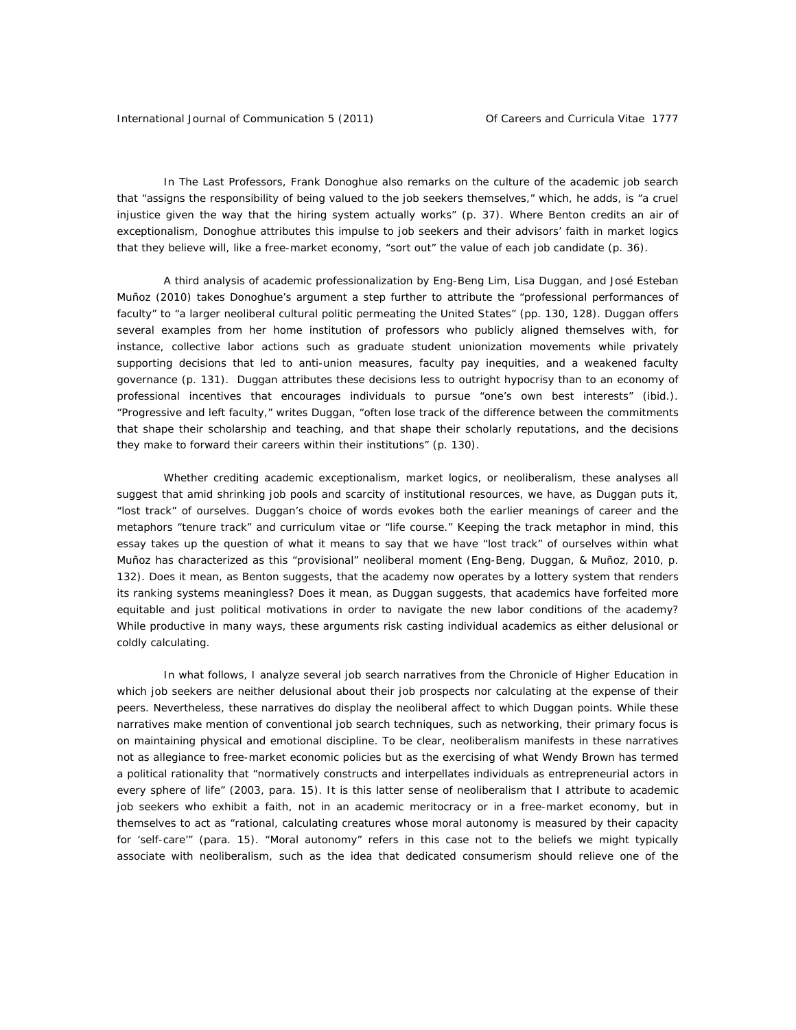In *The Last Professors*, Frank Donoghue also remarks on the culture of the academic job search that "assigns the responsibility of being valued to the job seekers themselves," which, he adds, is "a cruel injustice given the way that the hiring system actually works" (p. 37). Where Benton credits an air of exceptionalism, Donoghue attributes this impulse to job seekers and their advisors' faith in market logics that they believe will, like a free-market economy, "sort out" the value of each job candidate (p. 36).

A third analysis of academic professionalization by Eng-Beng Lim, Lisa Duggan, and José Esteban Muñoz (2010) takes Donoghue's argument a step further to attribute the "professional performances of faculty" to "a larger neoliberal cultural politic permeating the United States" (pp. 130, 128). Duggan offers several examples from her home institution of professors who publicly aligned themselves with, for instance, collective labor actions such as graduate student unionization movements while privately supporting decisions that led to anti-union measures, faculty pay inequities, and a weakened faculty governance (p. 131). Duggan attributes these decisions less to outright hypocrisy than to an economy of professional incentives that encourages individuals to pursue "one's own best interests" (ibid.). "Progressive and left faculty," writes Duggan, "often lose track of the difference between the commitments that shape their scholarship and teaching, and that shape their scholarly reputations, and the decisions they make to forward their careers within their institutions" (p. 130).

Whether crediting academic exceptionalism, market logics, or neoliberalism, these analyses all suggest that amid shrinking job pools and scarcity of institutional resources, we have, as Duggan puts it, "lost track" of ourselves. Duggan's choice of words evokes both the earlier meanings of *career* and the metaphors "tenure track" and *curriculum vitae* or "life course." Keeping the track metaphor in mind, this essay takes up the question of what it means to say that we have "lost track" of ourselves within what Muñoz has characterized as this "provisional" neoliberal moment (Eng-Beng, Duggan, & Muñoz, 2010, p. 132). Does it mean, as Benton suggests, that the academy now operates by a lottery system that renders its ranking systems meaningless? Does it mean, as Duggan suggests, that academics have forfeited more equitable and just political motivations in order to navigate the new labor conditions of the academy? While productive in many ways, these arguments risk casting individual academics as either delusional or coldly calculating.

In what follows, I analyze several job search narratives from the *Chronicle of Higher Education* in which job seekers are neither delusional about their job prospects nor calculating at the expense of their peers. Nevertheless, these narratives do display the neoliberal affect to which Duggan points. While these narratives make mention of conventional job search techniques, such as networking, their primary focus is on maintaining physical and emotional discipline. To be clear, neoliberalism manifests in these narratives not as allegiance to free-market economic policies but as the exercising of what Wendy Brown has termed a political rationality that "normatively constructs and interpellates individuals as entrepreneurial actors in every sphere of life" (2003, para. 15). It is this latter sense of neoliberalism that I attribute to academic job seekers who exhibit a faith, not in an academic meritocracy or in a free-market economy, but in themselves to act as "rational, calculating creatures whose moral autonomy is measured by their capacity for 'self-care'" (para. 15). "Moral autonomy" refers in this case not to the beliefs we might typically associate with neoliberalism, such as the idea that dedicated consumerism should relieve one of the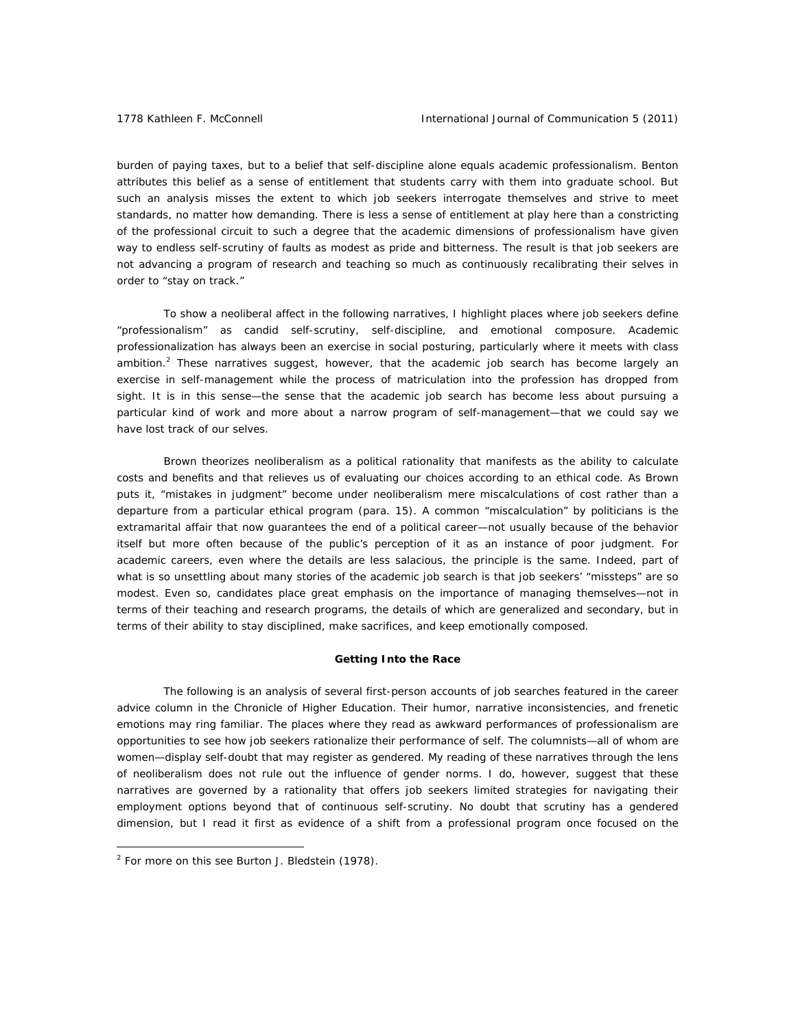burden of paying taxes, but to a belief that self-discipline alone equals academic professionalism. Benton attributes this belief as a sense of entitlement that students carry with them into graduate school. But such an analysis misses the extent to which job seekers interrogate themselves and strive to meet standards, no matter how demanding. There is less a sense of entitlement at play here than a constricting of the professional circuit to such a degree that the academic dimensions of professionalism have given way to endless self-scrutiny of faults as modest as pride and bitterness. The result is that job seekers are not advancing a program of research and teaching so much as continuously recalibrating their selves in order to "stay on track."

To show a neoliberal affect in the following narratives, I highlight places where job seekers define "professionalism" as candid self-scrutiny, self-discipline, and emotional composure. Academic professionalization has always been an exercise in social posturing, particularly where it meets with class ambition.<sup>2</sup> These narratives suggest, however, that the academic job search has become largely an exercise in self-management while the process of matriculation into the profession has dropped from sight. It is in this sense—the sense that the academic job search has become less about pursuing a particular kind of work and more about a narrow program of self-management—that we could say we have lost track of our selves.

Brown theorizes neoliberalism as a political rationality that manifests as the ability to calculate costs and benefits and that relieves us of evaluating our choices according to an ethical code. As Brown puts it, "mistakes in judgment" become under neoliberalism mere miscalculations of cost rather than a departure from a particular ethical program (para. 15). A common "miscalculation" by politicians is the extramarital affair that now guarantees the end of a political career—not usually because of the behavior itself but more often because of the public's perception of it as an instance of poor judgment. For academic careers, even where the details are less salacious, the principle is the same. Indeed, part of what is so unsettling about many stories of the academic job search is that job seekers' "missteps" are so modest. Even so, candidates place great emphasis on the importance of managing themselves—not in terms of their teaching and research programs, the details of which are generalized and secondary, but in terms of their ability to stay disciplined, make sacrifices, and keep emotionally composed.

#### **Getting Into the Race**

The following is an analysis of several first-person accounts of job searches featured in the career advice column in the *Chronicle of Higher Education*. Their humor, narrative inconsistencies, and frenetic emotions may ring familiar. The places where they read as awkward performances of professionalism are opportunities to see how job seekers rationalize their performance of self. The columnists—all of whom are women—display self-doubt that may register as gendered. My reading of these narratives through the lens of neoliberalism does not rule out the influence of gender norms. I do, however, suggest that these narratives are governed by a rationality that offers job seekers limited strategies for navigating their employment options beyond that of continuous self-scrutiny. No doubt that scrutiny has a gendered dimension, but I read it first as evidence of a shift from a professional program once focused on the

 $\overline{a}$ 

<sup>&</sup>lt;sup>2</sup> For more on this see Burton J. Bledstein (1978).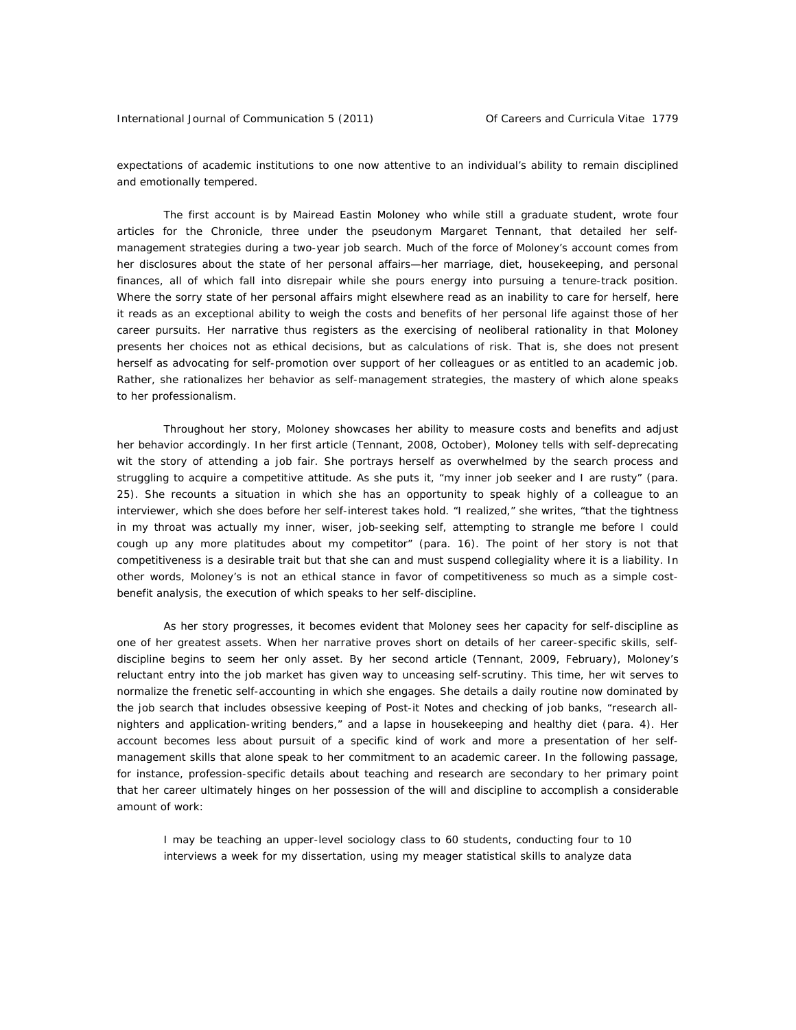expectations of academic institutions to one now attentive to an individual's ability to remain disciplined and emotionally tempered.

The first account is by Mairead Eastin Moloney who while still a graduate student, wrote four articles for the *Chronicle*, three under the pseudonym Margaret Tennant, that detailed her selfmanagement strategies during a two-year job search. Much of the force of Moloney's account comes from her disclosures about the state of her personal affairs—her marriage, diet, housekeeping, and personal finances, all of which fall into disrepair while she pours energy into pursuing a tenure-track position. Where the sorry state of her personal affairs might elsewhere read as an inability to care for herself, here it reads as an exceptional ability to weigh the costs and benefits of her personal life against those of her career pursuits. Her narrative thus registers as the exercising of neoliberal rationality in that Moloney presents her choices not as ethical decisions, but as calculations of risk. That is, she does not present herself as advocating for self-promotion over support of her colleagues or as entitled to an academic job. Rather, she rationalizes her behavior as self-management strategies, the mastery of which alone speaks to her professionalism.

Throughout her story, Moloney showcases her ability to measure costs and benefits and adjust her behavior accordingly. In her first article (Tennant, 2008, October), Moloney tells with self-deprecating wit the story of attending a job fair. She portrays herself as overwhelmed by the search process and struggling to acquire a competitive attitude. As she puts it, "my inner job seeker and I are rusty" (para. 25). She recounts a situation in which she has an opportunity to speak highly of a colleague to an interviewer, which she does before her self-interest takes hold. "I realized," she writes, "that the tightness in my throat was actually my inner, wiser, job-seeking self, attempting to strangle me before I could cough up any more platitudes about my competitor" (para. 16). The point of her story is not that competitiveness is a desirable trait but that she can and must suspend collegiality where it is a liability. In other words, Moloney's is not an ethical stance in favor of competitiveness so much as a simple costbenefit analysis, the execution of which speaks to her self-discipline.

As her story progresses, it becomes evident that Moloney sees her capacity for self-discipline as one of her greatest assets. When her narrative proves short on details of her career-specific skills, selfdiscipline begins to seem her only asset. By her second article (Tennant, 2009, February), Moloney's reluctant entry into the job market has given way to unceasing self-scrutiny. This time, her wit serves to normalize the frenetic self-accounting in which she engages. She details a daily routine now dominated by the job search that includes obsessive keeping of Post-it Notes and checking of job banks, "research allnighters and application-writing benders," and a lapse in housekeeping and healthy diet (para. 4). Her account becomes less about pursuit of a specific kind of work and more a presentation of her selfmanagement skills that alone speak to her commitment to an academic career. In the following passage, for instance, profession-specific details about teaching and research are secondary to her primary point that her career ultimately hinges on her possession of the will and discipline to accomplish a considerable amount of work:

I may be teaching an upper-level sociology class to 60 students, conducting four to 10 interviews a week for my dissertation, using my meager statistical skills to analyze data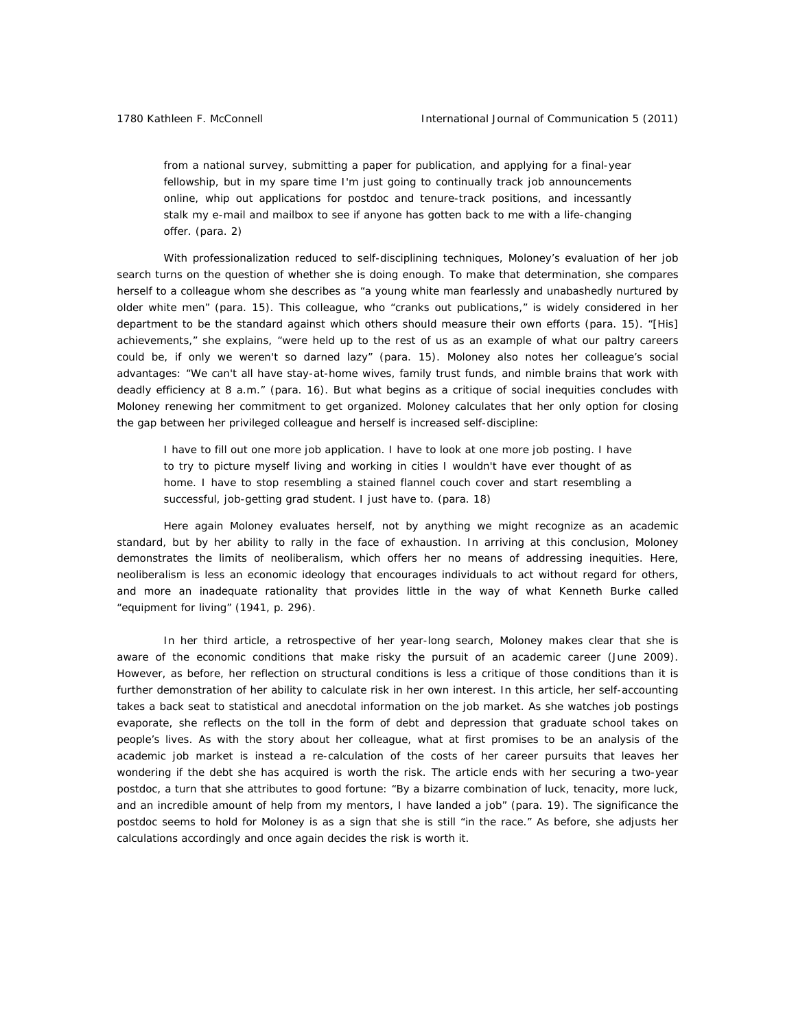from a national survey, submitting a paper for publication, and applying for a final-year fellowship, but in my spare time I'm just going to continually track job announcements online, whip out applications for postdoc and tenure-track positions, and incessantly stalk my e-mail and mailbox to see if anyone has gotten back to me with a life-changing offer. (para. 2)

With professionalization reduced to self-disciplining techniques, Moloney's evaluation of her job search turns on the question of whether she is doing enough. To make that determination, she compares herself to a colleague whom she describes as "a young white man fearlessly and unabashedly nurtured by older white men" (para. 15). This colleague, who "cranks out publications," is widely considered in her department to be the standard against which others should measure their own efforts (para. 15). "[His] achievements," she explains, "were held up to the rest of us as an example of what our paltry careers could be, if only we weren't so darned lazy" (para. 15). Moloney also notes her colleague's social advantages: "We can't all have stay-at-home wives, family trust funds, and nimble brains that work with deadly efficiency at 8 a.m." (para. 16). But what begins as a critique of social inequities concludes with Moloney renewing her commitment to get organized. Moloney calculates that her only option for closing the gap between her privileged colleague and herself is increased self-discipline:

I have to fill out one more job application. I have to look at one more job posting. I have to try to picture myself living and working in cities I wouldn't have ever thought of as home. I have to stop resembling a stained flannel couch cover and start resembling a successful, job-getting grad student. I just have to. (para. 18)

Here again Moloney evaluates herself, not by anything we might recognize as an academic standard, but by her ability to rally in the face of exhaustion. In arriving at this conclusion, Moloney demonstrates the limits of neoliberalism, which offers her no means of addressing inequities. Here, neoliberalism is less an economic ideology that encourages individuals to act without regard for others, and more an inadequate rationality that provides little in the way of what Kenneth Burke called "equipment for living" (1941, p. 296).

In her third article, a retrospective of her year-long search, Moloney makes clear that she is aware of the economic conditions that make risky the pursuit of an academic career (June 2009). However, as before, her reflection on structural conditions is less a critique of those conditions than it is further demonstration of her ability to calculate risk in her own interest. In this article, her self-accounting takes a back seat to statistical and anecdotal information on the job market. As she watches job postings evaporate, she reflects on the toll in the form of debt and depression that graduate school takes on people's lives. As with the story about her colleague, what at first promises to be an analysis of the academic job market is instead a re-calculation of the costs of her career pursuits that leaves her wondering if the debt she has acquired is worth the risk. The article ends with her securing a two-year postdoc, a turn that she attributes to good fortune: "By a bizarre combination of luck, tenacity, more luck, and an incredible amount of help from my mentors, I have landed a job" (para. 19). The significance the postdoc seems to hold for Moloney is as a sign that she is still "in the race." As before, she adjusts her calculations accordingly and once again decides the risk is worth it.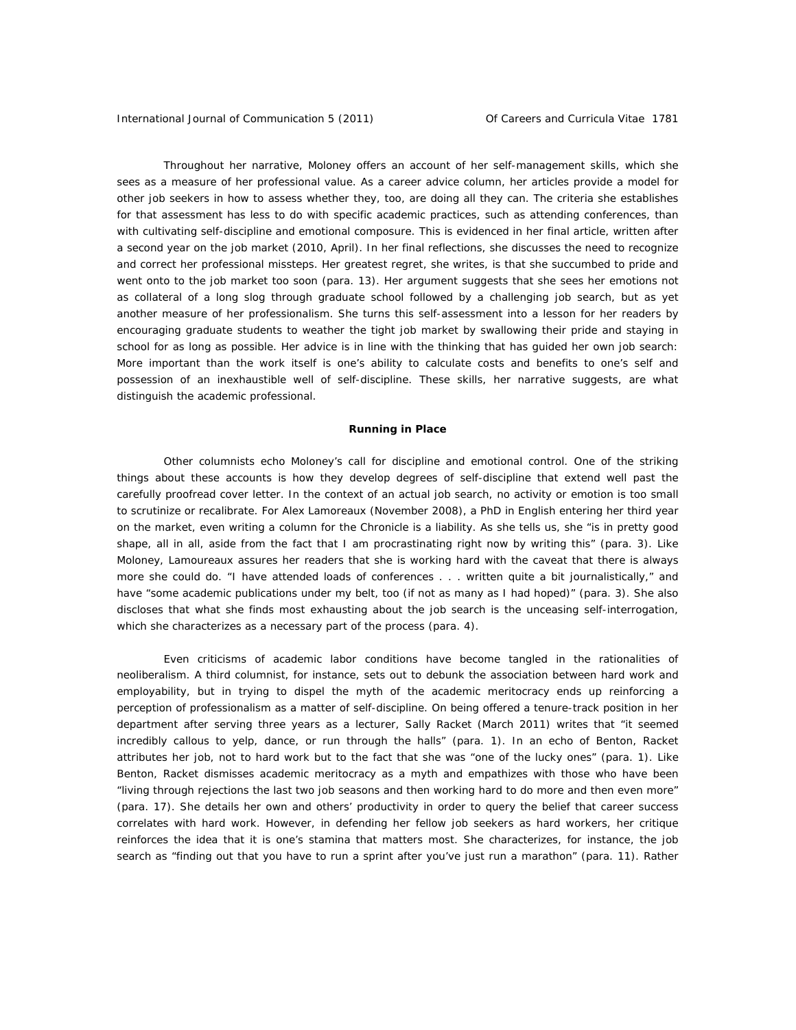Throughout her narrative, Moloney offers an account of her self-management skills, which she sees as a measure of her professional value. As a career advice column, her articles provide a model for other job seekers in how to assess whether they, too, are doing all they can. The criteria she establishes for that assessment has less to do with specific academic practices, such as attending conferences, than with cultivating self-discipline and emotional composure. This is evidenced in her final article, written after a second year on the job market (2010, April). In her final reflections, she discusses the need to recognize and correct her professional missteps. Her greatest regret, she writes, is that she succumbed to pride and went onto to the job market too soon (para. 13). Her argument suggests that she sees her emotions not as collateral of a long slog through graduate school followed by a challenging job search, but as yet another measure of her professionalism. She turns this self-assessment into a lesson for her readers by encouraging graduate students to weather the tight job market by swallowing their pride and staying in school for as long as possible. Her advice is in line with the thinking that has guided her own job search: More important than the work itself is one's ability to calculate costs and benefits to one's self and possession of an inexhaustible well of self-discipline. These skills, her narrative suggests, are what distinguish the academic professional.

### **Running in Place**

Other columnists echo Moloney's call for discipline and emotional control. One of the striking things about these accounts is how they develop degrees of self-discipline that extend well past the carefully proofread cover letter. In the context of an actual job search, no activity or emotion is too small to scrutinize or recalibrate. For Alex Lamoreaux (November 2008), a PhD in English entering her third year on the market, even writing a column for the *Chronicle* is a liability. As she tells us, she "is in pretty good shape, all in all, aside from the fact that I am procrastinating right now by writing this" (para. 3). Like Moloney, Lamoureaux assures her readers that she is working hard with the caveat that there is always more she could do. "I have attended loads of conferences . . . written quite a bit journalistically," and have "some academic publications under my belt, too (if not as many as I had hoped)" (para. 3). She also discloses that what she finds most exhausting about the job search is the unceasing self-interrogation, which she characterizes as a necessary part of the process (para. 4).

Even criticisms of academic labor conditions have become tangled in the rationalities of neoliberalism. A third columnist, for instance, sets out to debunk the association between hard work and employability, but in trying to dispel the myth of the academic meritocracy ends up reinforcing a perception of professionalism as a matter of self-discipline. On being offered a tenure-track position in her department after serving three years as a lecturer, Sally Racket (March 2011) writes that "it seemed incredibly callous to yelp, dance, or run through the halls" (para. 1). In an echo of Benton, Racket attributes her job, not to hard work but to the fact that she was "one of the lucky ones" (para. 1). Like Benton, Racket dismisses academic meritocracy as a myth and empathizes with those who have been "living through rejections the last two job seasons and then working hard to do more and then even more" (para. 17). She details her own and others' productivity in order to query the belief that career success correlates with hard work. However, in defending her fellow job seekers as hard workers, her critique reinforces the idea that it is one's stamina that matters most. She characterizes, for instance, the job search as "finding out that you have to run a sprint after you've just run a marathon" (para. 11). Rather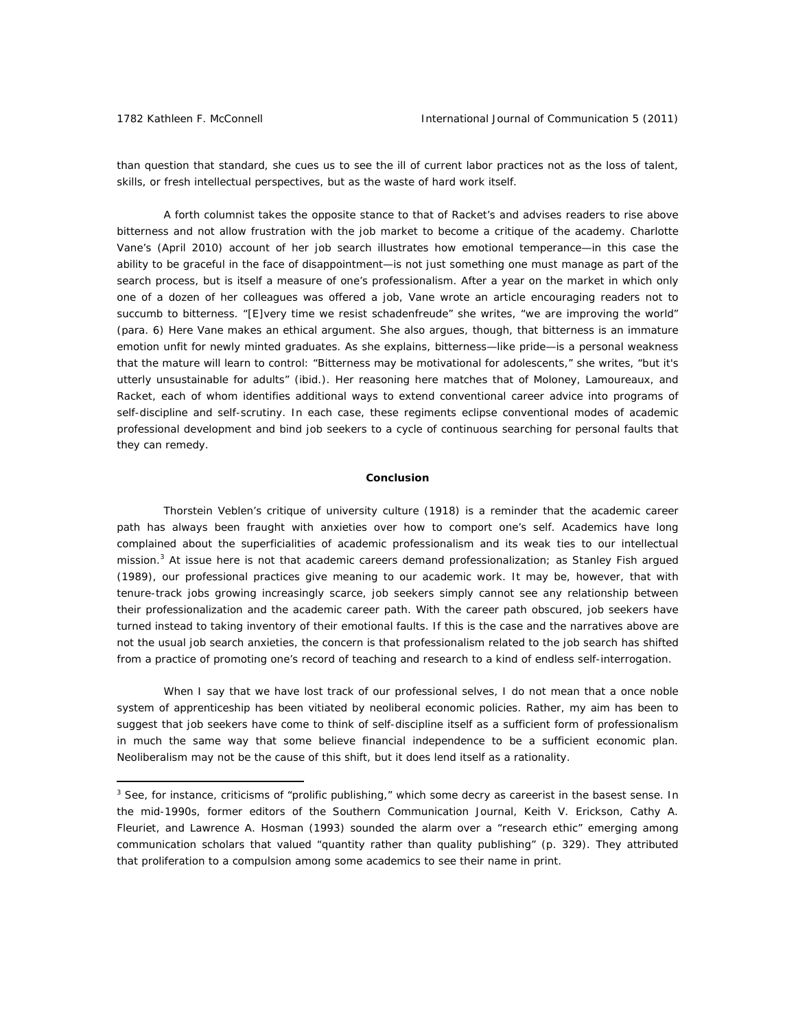$\overline{a}$ 

than question that standard, she cues us to see the ill of current labor practices not as the loss of talent, skills, or fresh intellectual perspectives, but as the waste of hard work itself.

A forth columnist takes the opposite stance to that of Racket's and advises readers to rise above bitterness and not allow frustration with the job market to become a critique of the academy. Charlotte Vane's (April 2010) account of her job search illustrates how emotional temperance—in this case the ability to be graceful in the face of disappointment—is not just something one must manage as part of the search process, but is itself a measure of one's professionalism. After a year on the market in which only one of a dozen of her colleagues was offered a job, Vane wrote an article encouraging readers not to succumb to bitterness. "[E]very time we resist schadenfreude" she writes, "we are improving the world" (para. 6) Here Vane makes an ethical argument. She also argues, though, that bitterness is an immature emotion unfit for newly minted graduates. As she explains, bitterness—like pride—is a personal weakness that the mature will learn to control: "Bitterness may be motivational for adolescents," she writes, "but it's utterly unsustainable for adults" (ibid.). Her reasoning here matches that of Moloney, Lamoureaux, and Racket, each of whom identifies additional ways to extend conventional career advice into programs of self-discipline and self-scrutiny. In each case, these regiments eclipse conventional modes of academic professional development and bind job seekers to a cycle of continuous searching for personal faults that they can remedy.

#### **Conclusion**

Thorstein Veblen's critique of university culture (1918) is a reminder that the academic career path has always been fraught with anxieties over how to comport one's self. Academics have long complained about the superficialities of academic professionalism and its weak ties to our intellectual mission.<sup>3</sup> At issue here is not that academic careers demand professionalization; as Stanley Fish argued (1989), our professional practices give meaning to our academic work. It may be, however, that with tenure-track jobs growing increasingly scarce, job seekers simply cannot see any relationship between their professionalization and the academic career path. With the career path obscured, job seekers have turned instead to taking inventory of their emotional faults. If this is the case and the narratives above are not the usual job search anxieties, the concern is that professionalism related to the job search has shifted from a practice of promoting one's record of teaching and research to a kind of endless self-interrogation.

When I say that we have lost track of our professional selves, I do not mean that a once noble system of apprenticeship has been vitiated by neoliberal economic policies. Rather, my aim has been to suggest that job seekers have come to think of self-discipline itself as a sufficient form of professionalism in much the same way that some believe financial independence to be a sufficient economic plan. Neoliberalism may not be the cause of this shift, but it does lend itself as a rationality.

<sup>&</sup>lt;sup>3</sup> See, for instance, criticisms of "prolific publishing," which some decry as careerist in the basest sense. In the mid-1990s, former editors of the *Southern Communication Journal,* Keith V. Erickson, Cathy A. Fleuriet, and Lawrence A. Hosman (1993) sounded the alarm over a "research ethic" emerging among communication scholars that valued "quantity rather than quality publishing" (p. 329). They attributed that proliferation to a compulsion among some academics to see their name in print.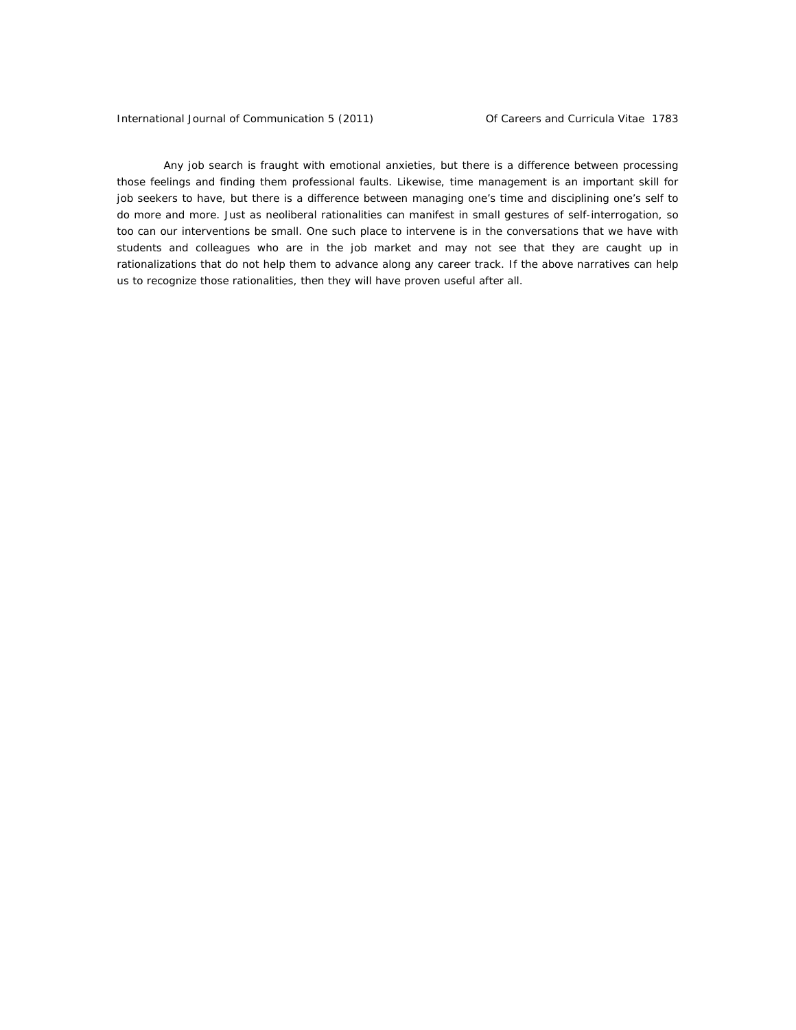Any job search is fraught with emotional anxieties, but there is a difference between processing those feelings and finding them professional faults. Likewise, time management is an important skill for job seekers to have, but there is a difference between managing one's time and disciplining one's self to do more and more. Just as neoliberal rationalities can manifest in small gestures of self-interrogation, so too can our interventions be small. One such place to intervene is in the conversations that we have with students and colleagues who are in the job market and may not see that they are caught up in rationalizations that do not help them to advance along any career track. If the above narratives can help us to recognize those rationalities, then they will have proven useful after all.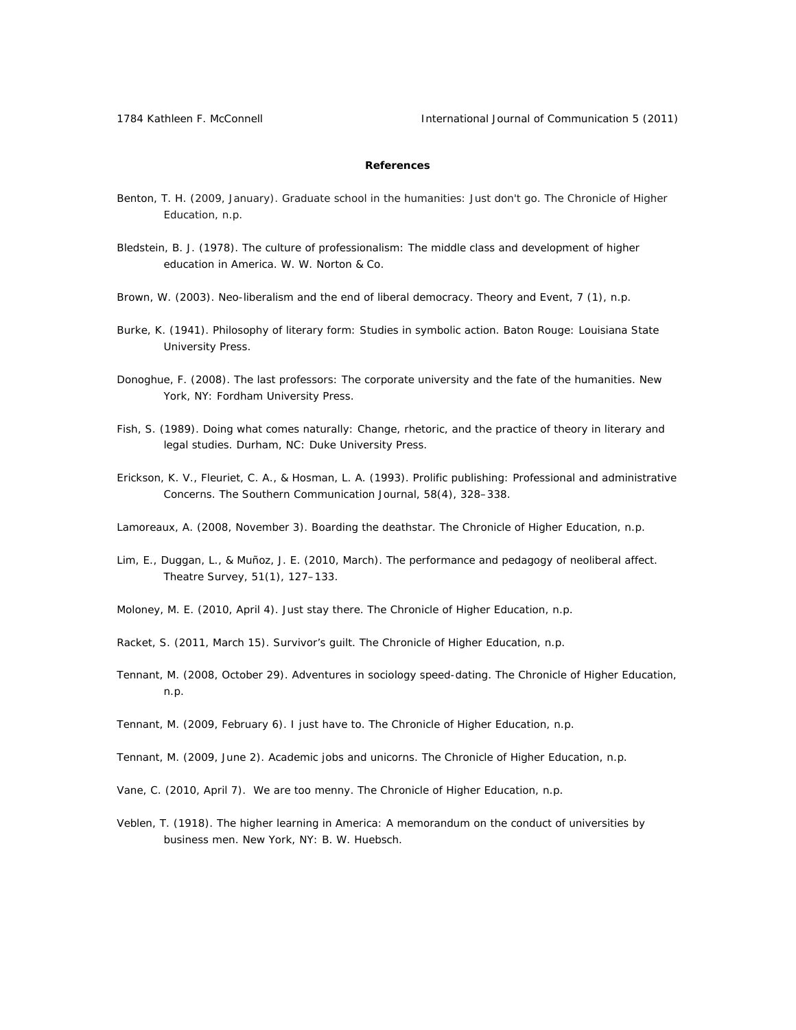#### **References**

- Benton, T. H. (2009, January). Graduate school in the humanities: Just don't go. *The Chronicle of Higher Education,* n.p.
- Bledstein, B. J. (1978). The culture of professionalism: The middle class and development of higher education in America. W. W. Norton & Co.
- Brown, W. (2003). Neo-liberalism and the end of liberal democracy. *Theory and Event*, *7* (1), n.p.
- Burke, K. (1941). Philosophy of literary form: Studies in symbolic action. Baton Rouge: Louisiana State University Press.
- Donoghue, F. (2008). The last professors: The corporate university and the fate of the humanities. New York, NY: Fordham University Press.
- Fish, S. (1989). Doing what comes naturally: Change, rhetoric, and the practice of theory in literary and legal studies. Durham, NC: Duke University Press.
- Erickson, K. V., Fleuriet, C. A., & Hosman, L. A. (1993). Prolific publishing: Professional and administrative Concerns. *The Southern Communication Journal*, *58*(4), 328–338.
- Lamoreaux, A. (2008, November 3). Boarding the deathstar. *The Chronicle of Higher Education*, n.p.
- Lim, E., Duggan, L., & Muñoz, J. E. (2010, March). The performance and pedagogy of neoliberal affect. *Theatre Survey, 51*(1), 127–133.
- Moloney, M. E. (2010, April 4). Just stay there. *The Chronicle of Higher Education*, n.p.
- Racket, S. (2011, March 15). Survivor's guilt. *The Chronicle of Higher Education*, n.p.
- Tennant, M. (2008, October 29). Adventures in sociology speed-dating. *The Chronicle of Higher Education*, n.p.
- Tennant, M. (2009, February 6). I just have to. *The Chronicle of Higher Education*, n.p.
- Tennant, M. (2009, June 2). Academic jobs and unicorns. *The Chronicle of Higher Education*, n.p.
- Vane, C. (2010, April 7). We are too menny. *The Chronicle of Higher Education*, n.p.
- Veblen, T. (1918). The higher learning in America: A memorandum on the conduct of universities by business men. New York, NY: B. W. Huebsch.